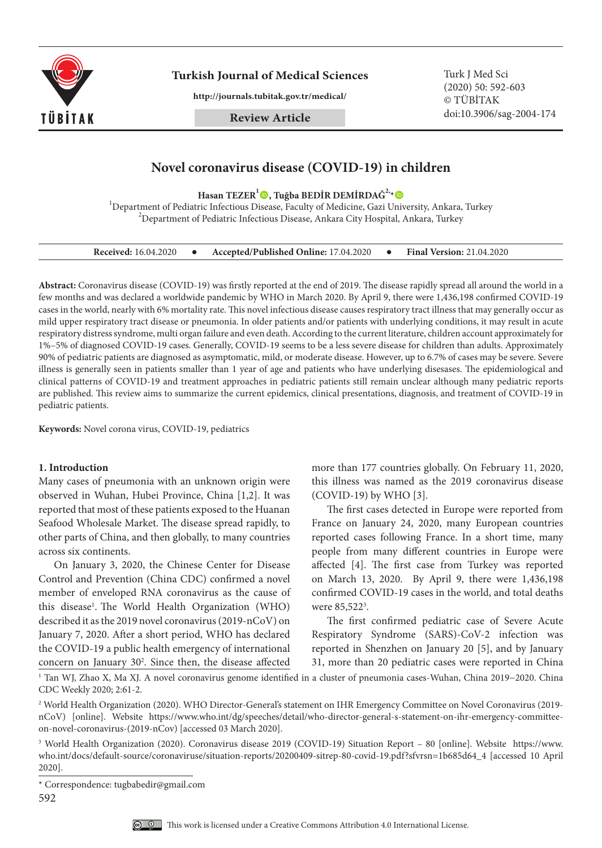

**Turkish Journal of Medical Sciences** Turk J Med Sci

**http://journals.tubitak.gov.tr/medical/**

**Review Article**

(2020) 50: 592-603 © TÜBİTAK doi:10.3906/sag-2004-174

# **Novel coronavirus disease (COVID-19) in children**

Hasan TEZER<sup>1</sup><sup>O</sup>, Tuğba BEDİR DEMİRDAĞ<sup>2</sup><sup>,</sup>\* O

<sup>1</sup>Department of Pediatric Infectious Disease, Faculty of Medicine, Gazi University, Ankara, Turkey  $^{2}$ Department of Pediatric Infectious Disease, Ankara City Hospital, Ankara, Turkey

| <b>Received:</b> 16.04.2020 |  | Accepted/Published Online: 17.04.2020 |  | <b>Final Version: 21.04.2020</b> |
|-----------------------------|--|---------------------------------------|--|----------------------------------|
|-----------------------------|--|---------------------------------------|--|----------------------------------|

**Abstract:** Coronavirus disease (COVID-19) was firstly reported at the end of 2019. The disease rapidly spread all around the world in a few months and was declared a worldwide pandemic by WHO in March 2020. By April 9, there were 1,436,198 confirmed COVID-19 cases in the world, nearly with 6% mortality rate. This novel infectious disease causes respiratory tract illness that may generally occur as mild upper respiratory tract disease or pneumonia. In older patients and/or patients with underlying conditions, it may result in acute respiratory distress syndrome, multi organ failure and even death. According to the current literature, children account approximately for 1%–5% of diagnosed COVID-19 cases. Generally, COVID-19 seems to be a less severe disease for children than adults. Approximately 90% of pediatric patients are diagnosed as asymptomatic, mild, or moderate disease. However, up to 6.7% of cases may be severe. Severe illness is generally seen in patients smaller than 1 year of age and patients who have underlying disesases. The epidemiological and clinical patterns of COVID-19 and treatment approaches in pediatric patients still remain unclear although many pediatric reports are published. This review aims to summarize the current epidemics, clinical presentations, diagnosis, and treatment of COVID-19 in pediatric patients.

**Keywords:** Novel corona virus, COVID-19, pediatrics

### **1. Introduction**

Many cases of pneumonia with an unknown origin were observed in Wuhan, Hubei Province, China [1,2]. It was reported that most of these patients exposed to the Huanan Seafood Wholesale Market. The disease spread rapidly, to other parts of China, and then globally, to many countries across six continents.

On January 3, 2020, the Chinese Center for Disease Control and Prevention (China CDC) confirmed a novel member of enveloped RNA coronavirus as the cause of this disease<sup>1</sup>. The World Health Organization (WHO) described it as the 2019 novel coronavirus (2019-nCoV) on January 7, 2020. After a short period, WHO has declared the COVID-19 a public health emergency of international concern on January 30<sup>2</sup>. Since then, the disease affected

more than 177 countries globally. On February 11, 2020, this illness was named as the 2019 coronavirus disease (COVID-19) by WHO [3].

The first cases detected in Europe were reported from France on January 24, 2020, many European countries reported cases following France. In a short time, many people from many different countries in Europe were affected [4]. The first case from Turkey was reported on March 13, 2020. By April 9, there were 1,436,198 confirmed COVID-19 cases in the world, and total deaths were 85,522<sup>3</sup>.

The first confirmed pediatric case of Severe Acute Respiratory Syndrome (SARS)-CoV-2 infection was reported in Shenzhen on January 20 [5], and by January 31, more than 20 pediatric cases were reported in China

1 Tan WJ, Zhao X, Ma XJ. A novel coronavirus genome identified in a cluster of pneumonia cases-Wuhan, China 2019−2020. China CDC Weekly 2020; 2:61-2.

2 World Health Organization (2020). WHO Director-General's statement on IHR Emergency Committee on Novel Coronavirus (2019 nCoV) [online]. Website [https://www.who.int/dg/speeches/detail/who-director-general-s-statement-on-ihr-emergency-committee](https://www.who.int/dg/speeches/detail/who-director-general-s-statement-on-ihr-emergency-committee-on-novel-coronavirus-(2019-nCov))[on-novel-coronavirus-\(2019-nCov\)](https://www.who.int/dg/speeches/detail/who-director-general-s-statement-on-ihr-emergency-committee-on-novel-coronavirus-(2019-nCov)) [accessed 03 March 2020].

<sup>3</sup> World Health Organization (2020). Coronavirus disease 2019 (COVID-19) Situation Report – 80 [online]. Website [https://www.](https://www.who.int/docs/default-source/coronaviruse/situation-reports/20200409-sitrep-80-covid-19.pdf?sfvrsn=1b685d64_4) [who.int/docs/default-source/coronaviruse/situation-reports/20200409-sitrep-80-covid-19.pdf?sfvrsn=1b685d64\\_4](https://www.who.int/docs/default-source/coronaviruse/situation-reports/20200409-sitrep-80-covid-19.pdf?sfvrsn=1b685d64_4) [accessed 10 April 2020].

592



<sup>\*</sup> Correspondence: tugbabedir@gmail.com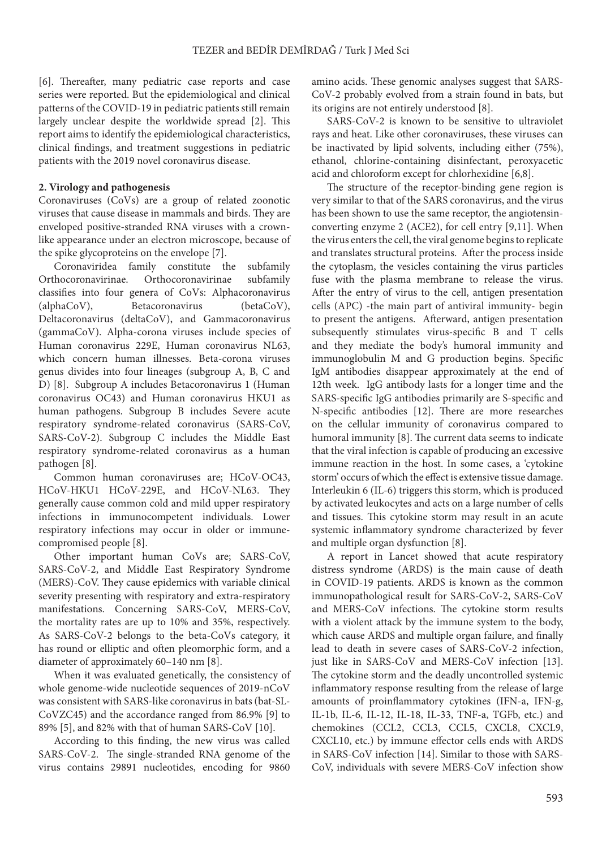[6]. Thereafter, many pediatric case reports and case series were reported. But the epidemiological and clinical patterns of the COVID-19 in pediatric patients still remain largely unclear despite the worldwide spread [2]. This report aims to identify the epidemiological characteristics, clinical findings, and treatment suggestions in pediatric patients with the 2019 novel coronavirus disease.

### **2. Virology and pathogenesis**

Coronaviruses (CoVs) are a group of related zoonotic viruses that cause disease in mammals and birds. They are enveloped positive-stranded RNA viruses with a crownlike appearance under an electron microscope, because of the spike glycoproteins on the envelope [7].

Coronaviridea family constitute the subfamily Orthocoronavirinae. Orthocoronavirinae subfamily classifies into four genera of CoVs: Alphacoronavirus (alphaCoV), Betacoronavirus (betaCoV), Deltacoronavirus (deltaCoV), and Gammacoronavirus (gammaCoV). Alpha-corona viruses include species of Human coronavirus 229E, Human coronavirus NL63, which concern human illnesses. Beta-corona viruses genus divides into four lineages (subgroup A, B, C and D) [8]. Subgroup A includes Betacoronavirus 1 (Human coronavirus OC43) and Human coronavirus HKU1 as human pathogens. Subgroup B includes Severe acute respiratory syndrome-related coronavirus (SARS-CoV, SARS-CoV-2). Subgroup C includes the Middle East respiratory syndrome-related coronavirus as a human pathogen [8].

Common human coronaviruses are; HCoV-OC43, HCoV-HKU1 HCoV-229E, and HCoV-NL63. They generally cause common cold and mild upper respiratory infections in immunocompetent individuals. Lower respiratory infections may occur in older or immunecompromised people [8].

Other important human CoVs are; SARS-CoV, SARS-CoV-2, and Middle East Respiratory Syndrome (MERS)-CoV. They cause epidemics with variable clinical severity presenting with respiratory and extra-respiratory manifestations. Concerning SARS-CoV, MERS-CoV, the mortality rates are up to 10% and 35%, respectively. As SARS-CoV-2 belongs to the beta-CoVs category, it has round or elliptic and often pleomorphic form, and a diameter of approximately 60–140 nm [8].

When it was evaluated genetically, the consistency of whole genome-wide nucleotide sequences of 2019-nCoV was consistent with SARS-like coronavirus in bats (bat-SL-CoVZC45) and the accordance ranged from 86.9% [9] to 89% [5], and 82% with that of human SARS-CoV [10].

According to this finding, the new virus was called SARS-CoV-2. The single-stranded RNA genome of the virus contains 29891 nucleotides, encoding for 9860

amino acids. These genomic analyses suggest that SARS-CoV-2 probably evolved from a strain found in bats, but its origins are not entirely understood [8].

SARS-CoV-2 is known to be sensitive to ultraviolet rays and heat. Like other coronaviruses, these viruses can be inactivated by lipid solvents, including either (75%), ethanol, chlorine-containing disinfectant, peroxyacetic acid and chloroform except for chlorhexidine [6,8].

The structure of the receptor-binding gene region is very similar to that of the SARS coronavirus, and the virus has been shown to use the same receptor, the angiotensinconverting enzyme 2 (ACE2), for cell entry [9,11]. When the virus enters the cell, the viral genome begins to replicate and translates structural proteins. After the process inside the cytoplasm, the vesicles containing the virus particles fuse with the plasma membrane to release the virus. After the entry of virus to the cell, antigen presentation cells (APC) -the main part of antiviral immunity- begin to present the antigens. Afterward, antigen presentation subsequently stimulates virus-specific B and T cells and they mediate the body's humoral immunity and immunoglobulin M and G production begins. Specific IgM antibodies disappear approximately at the end of 12th week. IgG antibody lasts for a longer time and the SARS-specific IgG antibodies primarily are S-specific and N-specific antibodies [12]. There are more researches on the cellular immunity of coronavirus compared to humoral immunity [8]. The current data seems to indicate that the viral infection is capable of producing an excessive immune reaction in the host. In some cases, a 'cytokine storm' occurs of which the effect is extensive tissue damage. Interleukin 6 (IL-6) triggers this storm, which is produced by activated leukocytes and acts on a large number of cells and tissues. This cytokine storm may result in an acute systemic inflammatory syndrome characterized by fever and multiple organ dysfunction [8].

A report in Lancet showed that acute respiratory distress syndrome (ARDS) is the main cause of death in COVID-19 patients. ARDS is known as the common immunopathological result for SARS-CoV-2, SARS-CoV and MERS-CoV infections. The cytokine storm results with a violent attack by the immune system to the body, which cause ARDS and multiple organ failure, and finally lead to death in severe cases of SARS-CoV-2 infection, just like in SARS-CoV and MERS-CoV infection [13]. The cytokine storm and the deadly uncontrolled systemic inflammatory response resulting from the release of large amounts of proinflammatory cytokines (IFN-a, IFN-g, IL-1b, IL-6, IL-12, IL-18, IL-33, TNF-a, TGFb, etc.) and chemokines (CCL2, CCL3, CCL5, CXCL8, CXCL9, CXCL10, etc.) by immune effector cells ends with ARDS in SARS-CoV infection [14]. Similar to those with SARS-CoV, individuals with severe MERS-CoV infection show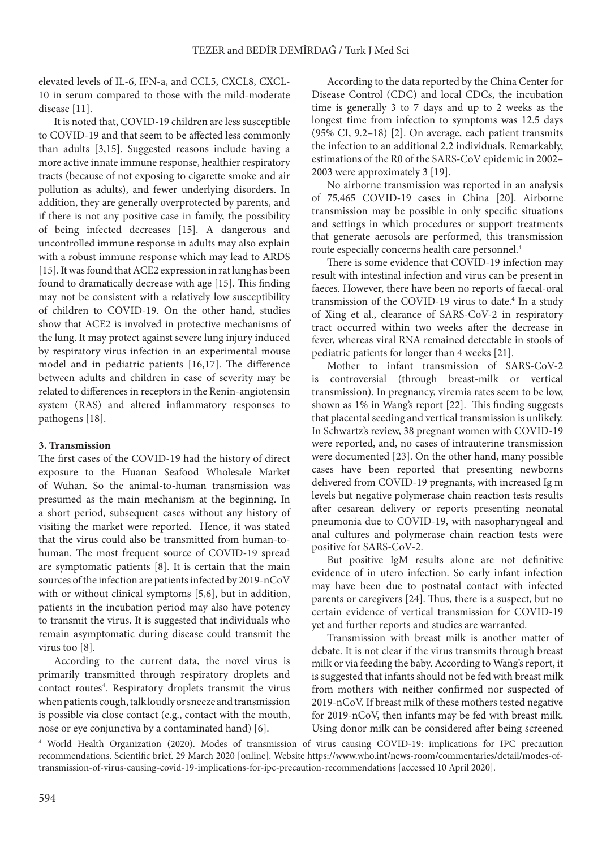elevated levels of IL-6, IFN-a, and CCL5, CXCL8, CXCL-10 in serum compared to those with the mild-moderate disease [11].

It is noted that, COVID-19 children are less susceptible to COVID-19 and that seem to be affected less commonly than adults [3,15]. Suggested reasons include having a more active innate immune response, healthier respiratory tracts (because of not exposing to cigarette smoke and air pollution as adults), and fewer underlying disorders. In addition, they are generally overprotected by parents, and if there is not any positive case in family, the possibility of being infected decreases [15]. A dangerous and uncontrolled immune response in adults may also explain with a robust immune response which may lead to ARDS [15]. It was found that ACE2 expression in rat lung has been found to dramatically decrease with age [15]. This finding may not be consistent with a relatively low susceptibility of children to COVID-19. On the other hand, studies show that ACE2 is involved in protective mechanisms of the lung. It may protect against severe lung injury induced by respiratory virus infection in an experimental mouse model and in pediatric patients [16,17]. The difference between adults and children in case of severity may be related to differences in receptors in the Renin-angiotensin system (RAS) and altered inflammatory responses to pathogens [18].

### **3. Transmission**

The first cases of the COVID-19 had the history of direct exposure to the Huanan Seafood Wholesale Market of Wuhan. So the animal-to-human transmission was presumed as the main mechanism at the beginning. In a short period, subsequent cases without any history of visiting the market were reported. Hence, it was stated that the virus could also be transmitted from human-tohuman. The most frequent source of COVID-19 spread are symptomatic patients [8]. It is certain that the main sources of the infection are patients infected by 2019-nCoV with or without clinical symptoms [5,6], but in addition, patients in the incubation period may also have potency to transmit the virus. It is suggested that individuals who remain asymptomatic during disease could transmit the virus too [8].

According to the current data, the novel virus is primarily transmitted through respiratory droplets and contact routes<sup>4</sup>. Respiratory droplets transmit the virus when patients cough, talk loudly or sneeze and transmission is possible via close contact (e.g., contact with the mouth, nose or eye conjunctiva by a contaminated hand) [6].

According to the data reported by the China Center for Disease Control (CDC) and local CDCs, the incubation time is generally 3 to 7 days and up to 2 weeks as the longest time from infection to symptoms was 12.5 days (95% CI, 9.2–18) [2]. On average, each patient transmits the infection to an additional 2.2 individuals. Remarkably, estimations of the R0 of the SARS-CoV epidemic in 2002– 2003 were approximately 3 [19].

No airborne transmission was reported in an analysis of 75,465 COVID-19 cases in China [20]. Airborne transmission may be possible in only specific situations and settings in which procedures or support treatments that generate aerosols are performed, this transmission route especially concerns health care personnel.4

There is some evidence that COVID-19 infection may result with intestinal infection and virus can be present in faeces. However, there have been no reports of faecal-oral transmission of the COVID-19 virus to date.4 In a study of Xing et al., clearance of SARS-CoV-2 in respiratory tract occurred within two weeks after the decrease in fever, whereas viral RNA remained detectable in stools of pediatric patients for longer than 4 weeks [21].

Mother to infant transmission of SARS-CoV-2 is controversial (through breast-milk or vertical transmission). In pregnancy, viremia rates seem to be low, shown as 1% in Wang's report [22]. This finding suggests that placental seeding and vertical transmission is unlikely. In Schwartz's review, 38 pregnant women with COVID-19 were reported, and, no cases of intrauterine transmission were documented [23]. On the other hand, many possible cases have been reported that presenting newborns delivered from COVID-19 pregnants, with increased Ig m levels but negative polymerase chain reaction tests results after cesarean delivery or reports presenting neonatal pneumonia due to COVID-19, with nasopharyngeal and anal cultures and polymerase chain reaction tests were positive for SARS-CoV-2.

But positive IgM results alone are not definitive evidence of in utero infection. So early infant infection may have been due to postnatal contact with infected parents or caregivers [24]. Thus, there is a suspect, but no certain evidence of vertical transmission for COVID-19 yet and further reports and studies are warranted.

Transmission with breast milk is another matter of debate. It is not clear if the virus transmits through breast milk or via feeding the baby. According to Wang's report, it is suggested that infants should not be fed with breast milk from mothers with neither confirmed nor suspected of 2019-nCoV. If breast milk of these mothers tested negative for 2019-nCoV, then infants may be fed with breast milk. Using donor milk can be considered after being screened

<sup>4</sup> World Health Organization (2020). Modes of transmission of virus causing COVID-19: implications for IPC precaution recommendations. Scientific brief. 29 March 2020 [online]. Website [https://www.who.int/news-room/commentaries/detail/modes-of](https://www.who.int/news-room/commentaries/detail/modes-of-transmission-of-virus-causing-covid-19-implications-for-ipc-precaution-recommendations)[transmission-of-virus-causing-covid-19-implications-for-ipc-precaution-recommendations](https://www.who.int/news-room/commentaries/detail/modes-of-transmission-of-virus-causing-covid-19-implications-for-ipc-precaution-recommendations) [accessed 10 April 2020].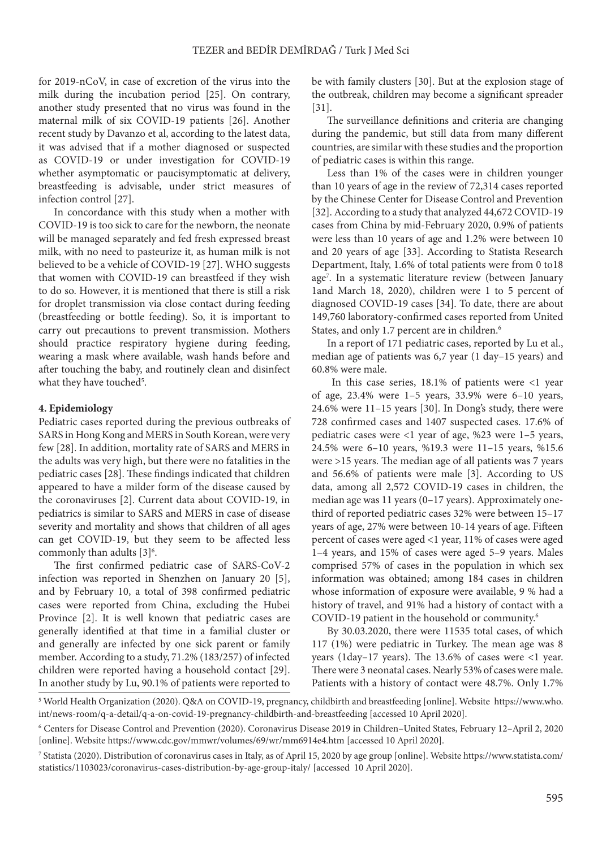for 2019-nCoV, in case of excretion of the virus into the milk during the incubation period [25]. On contrary, another study presented that no virus was found in the maternal milk of six COVID-19 patients [26]. Another recent study by Davanzo et al, according to the latest data, it was advised that if a mother diagnosed or suspected as COVID‐19 or under investigation for COVID‐19 whether asymptomatic or paucisymptomatic at delivery, breastfeeding is advisable, under strict measures of infection control [27].

In concordance with this study when a mother with COVID‐19 is too sick to care for the newborn, the neonate will be managed separately and fed fresh expressed breast milk, with no need to pasteurize it, as human milk is not believed to be a vehicle of COVID‐19 [27]. WHO suggests that women with COVID-19 can breastfeed if they wish to do so. However, it is mentioned that there is still a risk for droplet transmission via close contact during feeding (breastfeeding or bottle feeding). So, it is important to carry out precautions to prevent transmission. Mothers should practice respiratory hygiene during feeding, wearing a mask where available, wash hands before and after touching the baby, and routinely clean and disinfect what they have touched<sup>5</sup>.

### **4. Epidemiology**

Pediatric cases reported during the previous outbreaks of SARS in Hong Kong and MERS in South Korean, were very few [28]. In addition, mortality rate of SARS and MERS in the adults was very high, but there were no fatalities in the pediatric cases [28]. These findings indicated that children appeared to have a milder form of the disease caused by the coronaviruses [2]. Current data about COVID-19, in pediatrics is similar to SARS and MERS in case of disease severity and mortality and shows that children of all ages can get COVID-19, but they seem to be affected less commonly than adults  $[3]^{6}$ .

The first confirmed pediatric case of SARS-CoV-2 infection was reported in Shenzhen on January 20 [5], and by February 10, a total of 398 confirmed pediatric cases were reported from China, excluding the Hubei Province [2]. It is well known that pediatric cases are generally identified at that time in a familial cluster or and generally are infected by one sick parent or family member. According to a study, 71.2% (183/257) of infected children were reported having a household contact [29]. In another study by Lu, 90.1% of patients were reported to be with family clusters [30]. But at the explosion stage of the outbreak, children may become a significant spreader [31].

The surveillance definitions and criteria are changing during the pandemic, but still data from many different countries, are similar with these studies and the proportion of pediatric cases is within this range.

Less than 1% of the cases were in children younger than 10 years of age in the review of 72,314 cases reported by the Chinese Center for Disease Control and Prevention [32]. According to a study that analyzed 44,672 COVID-19 cases from China by mid-February 2020, 0.9% of patients were less than 10 years of age and 1.2% were between 10 and 20 years of age [33]. According to Statista Research Department, Italy, 1.6% of total patients were from 0 to18 age7 . In a systematic literature review (between January 1and March 18, 2020), children were 1 to 5 percent of diagnosed COVID-19 cases [34]. To date, there are about 149,760 laboratory-confirmed cases reported from United States, and only 1.7 percent are in children.<sup>6</sup>

In a report of 171 pediatric cases, reported by Lu et al., median age of patients was 6,7 year (1 day–15 years) and 60.8% were male.

In this case series,  $18.1\%$  of patients were <1 year of age, 23.4% were 1–5 years, 33.9% were 6–10 years, 24.6% were 11–15 years [30]. In Dong's study, there were 728 confirmed cases and 1407 suspected cases. 17.6% of pediatric cases were <1 year of age, %23 were 1–5 years, 24.5% were 6–10 years, %19.3 were 11–15 years, %15.6 were >15 years. The median age of all patients was 7 years and 56.6% of patients were male [3]. According to US data, among all 2,572 COVID-19 cases in children, the median age was 11 years (0–17 years). Approximately onethird of reported pediatric cases 32% were between 15–17 years of age, 27% were between 10-14 years of age. Fifteen percent of cases were aged <1 year, 11% of cases were aged 1–4 years, and 15% of cases were aged 5–9 years. Males comprised 57% of cases in the population in which sex information was obtained; among 184 cases in children whose information of exposure were available, 9 % had a history of travel, and 91% had a history of contact with a COVID-19 patient in the household or community.6

By 30.03.2020, there were 11535 total cases, of which 117 (1%) were pediatric in Turkey. The mean age was 8 years (1day–17 years). The 13.6% of cases were  $\langle$ 1 year. There were 3 neonatal cases. Nearly 53% of cases were male. Patients with a history of contact were 48.7%. Only 1.7%

<sup>5</sup> World Health Organization (2020). Q&A on COVID-19, pregnancy, childbirth and breastfeeding [online]. Website [https://www.who.](https://www.who.int/news-room/q-a-detail/q-a-on-covid-19-pregnancy-childbirth-and-breastfeeding) [int/news-room/q-a-detail/q-a-on-covid-19-pregnancy-childbirth-and-breastfeeding](https://www.who.int/news-room/q-a-detail/q-a-on-covid-19-pregnancy-childbirth-and-breastfeeding) [accessed 10 April 2020].

<sup>6</sup> Centers for Disease Control and Prevention (2020). Coronavirus Disease 2019 in Children–United States, February 12–April 2, 2020 [online]. Website <https://www.cdc.gov/mmwr/volumes/69/wr/mm6914e4.htm> [accessed 10 April 2020].

<sup>7</sup> Statista (2020). Distribution of coronavirus cases in Italy, as of April 15, 2020 by age group [online]. Website [https://www.statista.com/](https://www.statista.com/statistics/1103023/coronavirus-cases-distribution-by-age-group-italy/) [statistics/1103023/coronavirus-cases-distribution-by-age-group-italy/](https://www.statista.com/statistics/1103023/coronavirus-cases-distribution-by-age-group-italy/) [accessed 10 April 2020].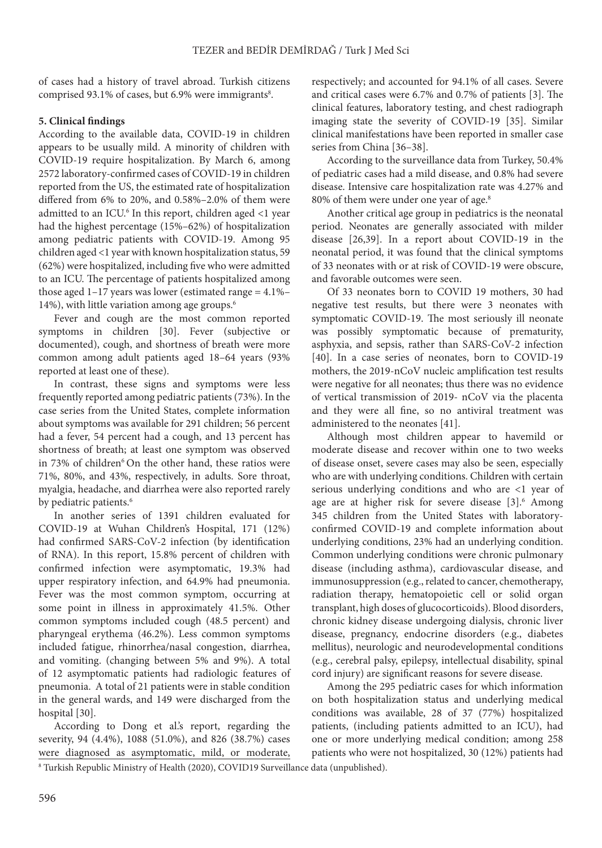of cases had a history of travel abroad. Turkish citizens comprised 93.1% of cases, but 6.9% were immigrants<sup>8</sup>.

# **5. Clinical findings**

According to the available data, COVID-19 in children appears to be usually mild. A minority of children with COVID-19 require hospitalization. By March 6, among 2572 laboratory-confirmed cases of COVID-19 in children reported from the US, the estimated rate of hospitalization differed from 6% to 20%, and 0.58%–2.0% of them were admitted to an ICU.<sup>6</sup> In this report, children aged <1 year had the highest percentage (15%–62%) of hospitalization among pediatric patients with COVID-19. Among 95 children aged <1 year with known hospitalization status, 59 (62%) were hospitalized, including five who were admitted to an ICU. The percentage of patients hospitalized among those aged  $1-17$  years was lower (estimated range =  $4.1\%$ – 14%), with little variation among age groups.6

Fever and cough are the most common reported symptoms in children [30]. Fever (subjective or documented), cough, and shortness of breath were more common among adult patients aged 18–64 years (93% reported at least one of these).

In contrast, these signs and symptoms were less frequently reported among pediatric patients (73%). In the case series from the United States, complete information about symptoms was available for 291 children; 56 percent had a fever, 54 percent had a cough, and 13 percent has shortness of breath; at least one symptom was observed in 73% of children<sup>6</sup> On the other hand, these ratios were 71%, 80%, and 43%, respectively, in adults. Sore throat, myalgia, headache, and diarrhea were also reported rarely by pediatric patients.<sup>6</sup>

In another series of 1391 children evaluated for COVID-19 at Wuhan Children's Hospital, 171 (12%) had confirmed SARS-CoV-2 infection (by identification of RNA). In this report, 15.8% percent of children with confirmed infection were asymptomatic, 19.3% had upper respiratory infection, and 64.9% had pneumonia. Fever was the most common symptom, occurring at some point in illness in approximately 41.5%. Other common symptoms included cough (48.5 percent) and pharyngeal erythema (46.2%). Less common symptoms included fatigue, rhinorrhea/nasal congestion, diarrhea, and vomiting. (changing between 5% and 9%). A total of 12 asymptomatic patients had radiologic features of pneumonia. A total of 21 patients were in stable condition in the general wards, and 149 were discharged from the hospital [30].

According to Dong et al.'s report, regarding the severity, 94 (4.4%), 1088 (51.0%), and 826 (38.7%) cases were diagnosed as asymptomatic, mild, or moderate,

respectively; and accounted for 94.1% of all cases. Severe and critical cases were 6.7% and 0.7% of patients [3]. The clinical features, laboratory testing, and chest radiograph imaging state the severity of COVID-19 [35]. Similar clinical manifestations have been reported in smaller case series from China [36–38].

According to the surveillance data from Turkey, 50.4% of pediatric cases had a mild disease, and 0.8% had severe disease. Intensive care hospitalization rate was 4.27% and 80% of them were under one year of age.8

Another critical age group in pediatrics is the neonatal period. Neonates are generally associated with milder disease [26,39]. In a report about COVID-19 in the neonatal period, it was found that the clinical symptoms of 33 neonates with or at risk of COVID-19 were obscure, and favorable outcomes were seen.

Of 33 neonates born to COVID 19 mothers, 30 had negative test results, but there were 3 neonates with symptomatic COVID-19. The most seriously ill neonate was possibly symptomatic because of prematurity, asphyxia, and sepsis, rather than SARS-CoV-2 infection [40]. In a case series of neonates, born to COVID-19 mothers, the 2019-nCoV nucleic amplification test results were negative for all neonates; thus there was no evidence of vertical transmission of 2019- nCoV via the placenta and they were all fine, so no antiviral treatment was administered to the neonates [41].

Although most children appear to havemild or moderate disease and recover within one to two weeks of disease onset, severe cases may also be seen, especially who are with underlying conditions. Children with certain serious underlying conditions and who are <1 year of age are at higher risk for severe disease [3].<sup>6</sup> Among 345 children from the United States with laboratoryconfirmed COVID-19 and complete information about underlying conditions, 23% had an underlying condition. Common underlying conditions were chronic pulmonary disease (including asthma), cardiovascular disease, and immunosuppression (e.g., related to cancer, chemotherapy, radiation therapy, hematopoietic cell or solid organ transplant, high doses of glucocorticoids). Blood disorders, chronic kidney disease undergoing dialysis, chronic liver disease, pregnancy, endocrine disorders (e.g., diabetes mellitus), neurologic and neurodevelopmental conditions (e.g., cerebral palsy, epilepsy, intellectual disability, spinal cord injury) are significant reasons for severe disease.

Among the 295 pediatric cases for which information on both hospitalization status and underlying medical conditions was available, 28 of 37 (77%) hospitalized patients, (including patients admitted to an ICU), had one or more underlying medical condition; among 258 patients who were not hospitalized, 30 (12%) patients had

<sup>8</sup> Turkish Republic Ministry of Health (2020), COVID19 Surveillance data (unpublished).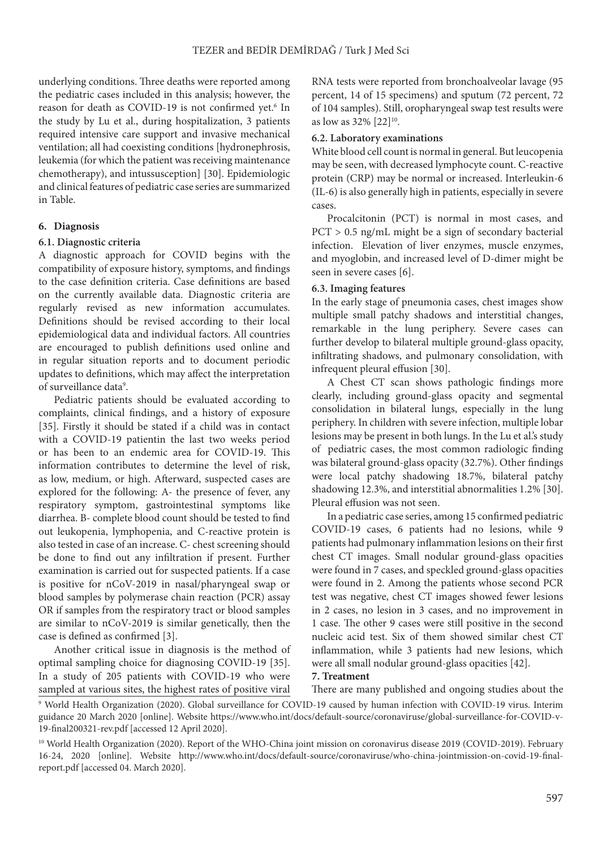underlying conditions. Three deaths were reported among the pediatric cases included in this analysis; however, the reason for death as COVID-19 is not confirmed yet.<sup>6</sup> In the study by Lu et al., during hospitalization, 3 patients required intensive care support and invasive mechanical ventilation; all had coexisting conditions [hydronephrosis, leukemia (for which the patient was receiving maintenance chemotherapy), and intussusception] [30]. Epidemiologic and clinical features of pediatric case series are summarized in Table.

### **6. Diagnosis**

### **6.1. Diagnostic criteria**

A diagnostic approach for COVID begins with the compatibility of exposure history, symptoms, and findings to the case definition criteria. Case definitions are based on the currently available data. Diagnostic criteria are regularly revised as new information accumulates. Definitions should be revised according to their local epidemiological data and individual factors. All countries are encouraged to publish definitions used online and in regular situation reports and to document periodic updates to definitions, which may affect the interpretation of surveillance data<sup>9</sup>.

Pediatric patients should be evaluated according to complaints, clinical findings, and a history of exposure [35]. Firstly it should be stated if a child was in contact with a COVID-19 patientin the last two weeks period or has been to an endemic area for COVID-19. This information contributes to determine the level of risk, as low, medium, or high. Afterward, suspected cases are explored for the following: A- the presence of fever, any respiratory symptom, gastrointestinal symptoms like diarrhea. B- complete blood count should be tested to find out leukopenia, lymphopenia, and C-reactive protein is also tested in case of an increase. C- chest screening should be done to find out any infiltration if present. Further examination is carried out for suspected patients. If a case is positive for nCoV-2019 in nasal/pharyngeal swap or blood samples by polymerase chain reaction (PCR) assay OR if samples from the respiratory tract or blood samples are similar to nCoV-2019 is similar genetically, then the case is defined as confirmed [3].

Another critical issue in diagnosis is the method of optimal sampling choice for diagnosing COVID-19 [35]. In a study of 205 patients with COVID-19 who were sampled at various sites, the highest rates of positive viral

RNA tests were reported from bronchoalveolar lavage (95 percent, 14 of 15 specimens) and sputum (72 percent, 72 of 104 samples). Still, oropharyngeal swap test results were as low as 32% [22]<sup>10</sup>.

#### **6.2. Laboratory examinations**

White blood cell count is normal in general. But leucopenia may be seen, with decreased lymphocyte count. C-reactive protein (CRP) may be normal or increased. Interleukin-6 (IL-6) is also generally high in patients, especially in severe cases.

Procalcitonin (PCT) is normal in most cases, and PCT > 0.5 ng/mL might be a sign of secondary bacterial infection. Elevation of liver enzymes, muscle enzymes, and myoglobin, and increased level of D-dimer might be seen in severe cases [6].

### **6.3. Imaging features**

In the early stage of pneumonia cases, chest images show multiple small patchy shadows and interstitial changes, remarkable in the lung periphery. Severe cases can further develop to bilateral multiple ground-glass opacity, infiltrating shadows, and pulmonary consolidation, with infrequent pleural effusion [30].

A Chest CT scan shows pathologic findings more clearly, including ground-glass opacity and segmental consolidation in bilateral lungs, especially in the lung periphery. In children with severe infection, multiple lobar lesions may be present in both lungs. In the Lu et al.'s study of pediatric cases, the most common radiologic finding was bilateral ground-glass opacity (32.7%). Other findings were local patchy shadowing 18.7%, bilateral patchy shadowing 12.3%, and interstitial abnormalities 1.2% [30]. Pleural effusion was not seen.

In a pediatric case series, among 15 confirmed pediatric COVID-19 cases, 6 patients had no lesions, while 9 patients had pulmonary inflammation lesions on their first chest CT images. Small nodular ground-glass opacities were found in 7 cases, and speckled ground-glass opacities were found in 2. Among the patients whose second PCR test was negative, chest CT images showed fewer lesions in 2 cases, no lesion in 3 cases, and no improvement in 1 case. The other 9 cases were still positive in the second nucleic acid test. Six of them showed similar chest CT inflammation, while 3 patients had new lesions, which were all small nodular ground-glass opacities [42].

#### **7. Treatment**

9 World Health Organization (2020). Global surveillance for COVID-19 caused by human infection with COVID-19 virus. Interim guidance 20 March 2020 [online]. Website [https://www.who.int/docs/default-source/coronaviruse/global-surveillance-for-COVID-v-](https://www.who.int/docs/default-source/coronaviruse/global-surveillance-for-covid-v-19-final200321-rev.pdf)[19-final200321-rev.pdf](https://www.who.int/docs/default-source/coronaviruse/global-surveillance-for-covid-v-19-final200321-rev.pdf) [accessed 12 April 2020]. There are many published and ongoing studies about the

<sup>10</sup> World Health Organization (2020). Report of the WHO-China joint mission on coronavirus disease 2019 (COVID-2019). February 16-24, 2020 [online]. Website http://www.who.int/docs/default-source/coronaviruse/who-china-jointmission-on-covid-19-finalreport.pdf [accessed 04. March 2020].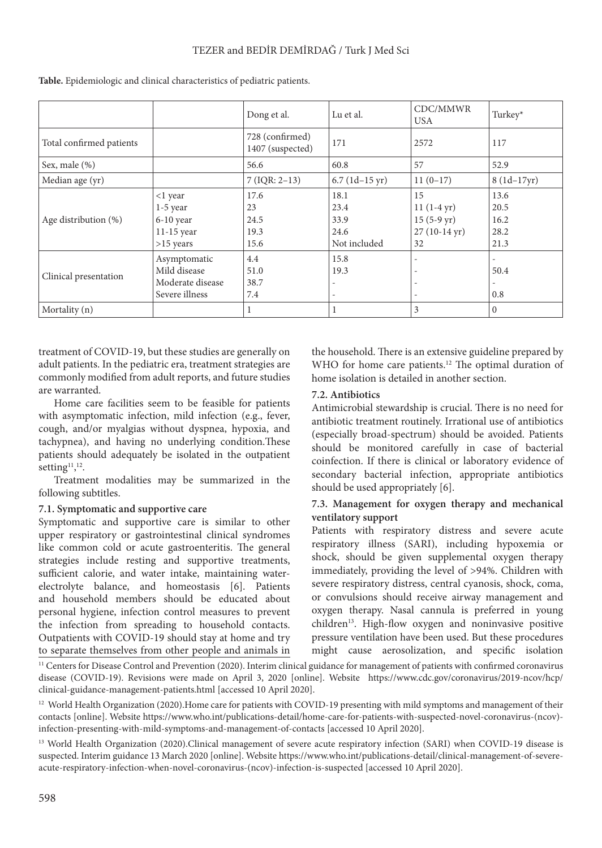# TEZER and BEDİR DEMİRDAĞ / Turk J Med Sci

|                          |                                                                     | Dong et al.                         | Lu et al.                                    | CDC/MMWR<br>USA                                                            | Turkey*                              |
|--------------------------|---------------------------------------------------------------------|-------------------------------------|----------------------------------------------|----------------------------------------------------------------------------|--------------------------------------|
| Total confirmed patients |                                                                     | 728 (confirmed)<br>1407 (suspected) | 171                                          | 2572                                                                       | 117                                  |
| Sex, male (%)            |                                                                     | 56.6                                | 60.8                                         | 57                                                                         | 52.9                                 |
| Median age (yr)          |                                                                     | $7 (IQR: 2-13)$                     | $6.7 (1d-15 \text{ yr})$                     | $11(0-17)$                                                                 | $8(1d-17yr)$                         |
| Age distribution (%)     | <1 year<br>$1-5$ year<br>$6-10$ year<br>$11-15$ year<br>$>15$ years | 17.6<br>23<br>24.5<br>19.3<br>15.6  | 18.1<br>23.4<br>33.9<br>24.6<br>Not included | 15<br>$11(1-4 yr)$<br>$15(5-9 \text{ yr})$<br>$27(10-14 \text{ yr})$<br>32 | 13.6<br>20.5<br>16.2<br>28.2<br>21.3 |
| Clinical presentation    | Asymptomatic<br>Mild disease<br>Moderate disease<br>Severe illness  | 4.4<br>51.0<br>38.7<br>7.4          | 15.8<br>19.3                                 | $\overline{\phantom{a}}$<br>$\overline{\phantom{0}}$                       | 50.4<br>0.8                          |
| Mortality (n)            |                                                                     |                                     |                                              | 3                                                                          | $\mathbf{0}$                         |

**Table.** Epidemiologic and clinical characteristics of pediatric patients.

treatment of COVID-19, but these studies are generally on adult patients. In the pediatric era, treatment strategies are commonly modified from adult reports, and future studies are warranted.

Home care facilities seem to be feasible for patients with asymptomatic infection, mild infection (e.g., fever, cough, and/or myalgias without dyspnea, hypoxia, and tachypnea), and having no underlying condition.These patients should adequately be isolated in the outpatient setting<sup>11</sup>,<sup>12</sup>.

Treatment modalities may be summarized in the following subtitles.

# **7.1. Symptomatic and supportive care**

Symptomatic and supportive care is similar to other upper respiratory or gastrointestinal clinical syndromes like common cold or acute gastroenteritis. The general strategies include resting and supportive treatments, sufficient calorie, and water intake, maintaining waterelectrolyte balance, and homeostasis [6]. Patients and household members should be educated about personal hygiene, infection control measures to prevent the infection from spreading to household contacts. Outpatients with COVID-19 should stay at home and try to separate themselves from other people and animals in

the household. There is an extensive guideline prepared by WHO for home care patients.<sup>12</sup> The optimal duration of home isolation is detailed in another section.

# **7.2. Antibiotics**

Antimicrobial stewardship is crucial. There is no need for antibiotic treatment routinely. Irrational use of antibiotics (especially broad-spectrum) should be avoided. Patients should be monitored carefully in case of bacterial coinfection. If there is clinical or laboratory evidence of secondary bacterial infection, appropriate antibiotics should be used appropriately [6].

# **7.3. Management for oxygen therapy and mechanical ventilatory support**

Patients with respiratory distress and severe acute respiratory illness (SARI), including hypoxemia or shock, should be given supplemental oxygen therapy immediately, providing the level of >94%. Children with severe respiratory distress, central cyanosis, shock, coma, or convulsions should receive airway management and oxygen therapy. Nasal cannula is preferred in young children<sup>13</sup>. High-flow oxygen and noninvasive positive pressure ventilation have been used. But these procedures might cause aerosolization, and specific isolation

<sup>11</sup> Centers for Disease Control and Prevention (2020). Interim clinical guidance for management of patients with confirmed coronavirus disease (COVID-19). Revisions were made on April 3, 2020 [online]. Website [https://www.cdc.gov/coronavirus/2019-ncov/hcp/](https://www.cdc.gov/coronavirus/2019-ncov/hcp/clinical-guidance-management-patients.html) [clinical-guidance-management-patients.html](https://www.cdc.gov/coronavirus/2019-ncov/hcp/clinical-guidance-management-patients.html) [accessed 10 April 2020].

<sup>12</sup> World Health Organization (2020).Home care for patients with COVID-19 presenting with mild symptoms and management of their contacts [online]. Website [https://www.who.int/publications-detail/home-care-for-patients-with-suspected-novel-coronavirus-\(ncov\)](https://www.who.int/publications-detail/home-care-for-patients-with-suspected-novel-coronavirus-(ncov)-infection-presenting-with-mild-symptoms-and-management-of-contacts) [infection-presenting-with-mild-symptoms-and-management-of-contacts](https://www.who.int/publications-detail/home-care-for-patients-with-suspected-novel-coronavirus-(ncov)-infection-presenting-with-mild-symptoms-and-management-of-contacts) [accessed 10 April 2020].

<sup>13</sup> World Health Organization (2020).Clinical management of severe acute respiratory infection (SARI) when COVID-19 disease is suspected. Interim guidance 13 March 2020 [online]. Website [https://www.who.int/publications-detail/clinical-management-of-severe](https://www.who.int/publications-detail/clinical-management-of-severe-acute-respiratory-infection-when-novel-coronavirus-(ncov)-infection-is-suspected)[acute-respiratory-infection-when-novel-coronavirus-\(ncov\)-infection-is-suspected](https://www.who.int/publications-detail/clinical-management-of-severe-acute-respiratory-infection-when-novel-coronavirus-(ncov)-infection-is-suspected) [accessed 10 April 2020].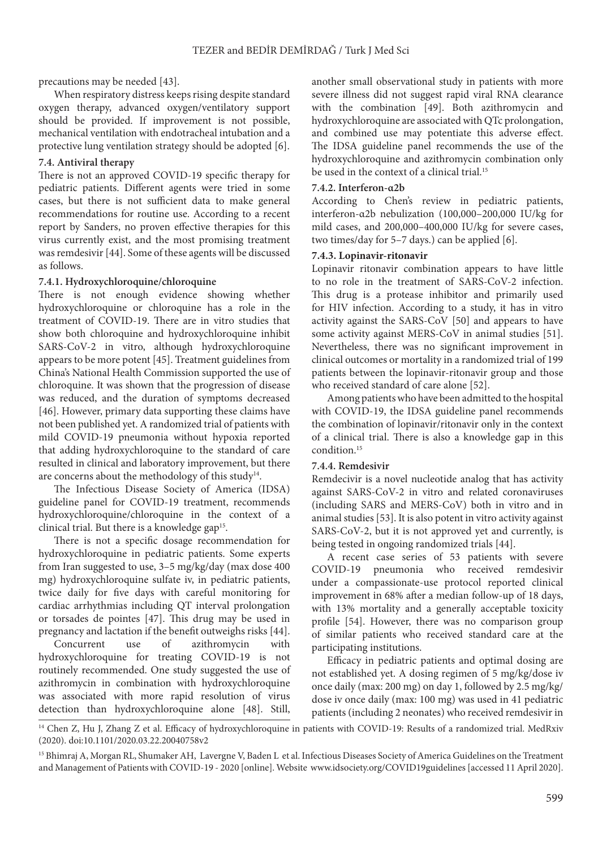precautions may be needed [43].

When respiratory distress keeps rising despite standard oxygen therapy, advanced oxygen/ventilatory support should be provided. If improvement is not possible, mechanical ventilation with endotracheal intubation and a protective lung ventilation strategy should be adopted [6].

### **7.4. Antiviral therapy**

There is not an approved COVID-19 specific therapy for pediatric patients. Different agents were tried in some cases, but there is not sufficient data to make general recommendations for routine use. According to a recent report by Sanders, no proven effective therapies for this virus currently exist, and the most promising treatment was remdesivir [44]. Some of these agents will be discussed as follows.

### **7.4.1. Hydroxychloroquine/chloroquine**

There is not enough evidence showing whether hydroxychloroquine or chloroquine has a role in the treatment of COVID-19. There are in vitro studies that show both chloroquine and hydroxychloroquine inhibit SARS-CoV-2 in vitro, although hydroxychloroquine appears to be more potent [45]. Treatment guidelines from China's National Health Commission supported the use of chloroquine. It was shown that the progression of disease was reduced, and the duration of symptoms decreased [46]. However, primary data supporting these claims have not been published yet. A randomized trial of patients with mild COVID-19 pneumonia without hypoxia reported that adding hydroxychloroquine to the standard of care resulted in clinical and laboratory improvement, but there are concerns about the methodology of this study<sup>14</sup>.

The Infectious Disease Society of America (IDSA) guideline panel for COVID-19 treatment, recommends hydroxychloroquine/chloroquine in the context of a clinical trial. But there is a knowledge gap<sup>15</sup>.

There is not a specific dosage recommendation for hydroxychloroquine in pediatric patients. Some experts from Iran suggested to use, 3–5 mg/kg/day (max dose 400 mg) hydroxychloroquine sulfate iv, in pediatric patients, twice daily for five days with careful monitoring for cardiac arrhythmias including QT interval prolongation or torsades de pointes [47]. This drug may be used in pregnancy and lactation if the benefit outweighs risks [44].

Concurrent use of azithromycin with hydroxychloroquine for treating COVID-19 is not routinely recommended. One study suggested the use of azithromycin in combination with hydroxychloroquine was associated with more rapid resolution of virus detection than hydroxychloroquine alone [48]. Still,

another small observational study in patients with more severe illness did not suggest rapid viral RNA clearance with the combination [49]. Both azithromycin and hydroxychloroquine are associated with QTc prolongation, and combined use may potentiate this adverse effect. The IDSA guideline panel recommends the use of the hydroxychloroquine and azithromycin combination only be used in the context of a clinical trial.15

### **7.4.2. Interferon-α2b**

According to Chen's review in pediatric patients, interferon-α2b nebulization (100,000–200,000 IU/kg for mild cases, and 200,000–400,000 IU/kg for severe cases, two times/day for 5–7 days.) can be applied [6].

### **7.4.3. Lopinavir-ritonavir**

Lopinavir ritonavir combination appears to have little to no role in the treatment of SARS-CoV-2 infection. This drug is a protease inhibitor and primarily used for HIV infection. According to a study, it has in vitro activity against the SARS-CoV [50] and appears to have some activity against MERS-CoV in animal studies [51]. Nevertheless, there was no significant improvement in clinical outcomes or mortality in a randomized trial of 199 patients between the lopinavir-ritonavir group and those who received standard of care alone [52].

Among patients who have been admitted to the hospital with COVID-19, the IDSA guideline panel recommends the combination of lopinavir/ritonavir only in the context of a clinical trial. There is also a knowledge gap in this condition.15

### **7.4.4. Remdesivir**

Remdecivir is a novel nucleotide analog that has activity against SARS-CoV-2 in vitro and related coronaviruses (including SARS and MERS-CoV) both in vitro and in animal studies [53]. It is also potent in vitro activity against SARS-CoV-2, but it is not approved yet and currently, is being tested in ongoing randomized trials [44].

A recent case series of 53 patients with severe COVID-19 pneumonia who received remdesivir under a compassionate-use protocol reported clinical improvement in 68% after a median follow-up of 18 days, with 13% mortality and a generally acceptable toxicity profile [54]. However, there was no comparison group of similar patients who received standard care at the participating institutions.

Efficacy in pediatric patients and optimal dosing are not established yet. A dosing regimen of 5 mg/kg/dose iv once daily (max: 200 mg) on day 1, followed by 2.5 mg/kg/ dose iv once daily (max: 100 mg) was used in 41 pediatric patients (including 2 neonates) who received remdesivir in

<sup>&</sup>lt;sup>14</sup> Chen Z, Hu J, Zhang Z et al. Efficacy of hydroxychloroquine in patients with COVID-19: Results of a randomized trial. MedRxiv (2020). doi:10.1101/2020.03.22.20040758v2

<sup>&</sup>lt;sup>15</sup> Bhimraj A, Morgan RL, Shumaker AH, Lavergne V, Baden L et al. Infectious Diseases Society of America Guidelines on the Treatment and Management of Patients with COVID-19 - 2020 [online]. Website [www.idsociety.org/COVID19guidelines](http://www.idsociety.org/COVID19guidelines) [accessed 11 April 2020].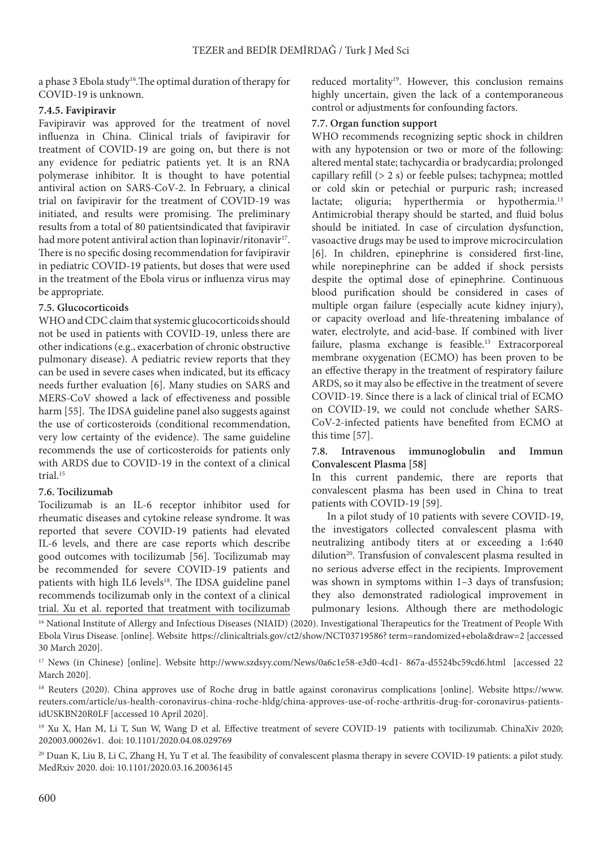a phase 3 Ebola study<sup>16</sup>. The optimal duration of therapy for COVID-19 is unknown.

### **7.4.5. Favipiravir**

Favipiravir was approved for the treatment of novel influenza in China. Clinical trials of favipiravir for treatment of COVID-19 are going on, but there is not any evidence for pediatric patients yet. It is an RNA polymerase inhibitor. It is thought to have potential antiviral action on SARS-CoV-2. In February, a clinical trial on favipiravir for the treatment of COVID-19 was initiated, and results were promising. The preliminary results from a total of 80 patientsindicated that favipiravir had more potent antiviral action than lopinavir/ritonavir<sup>17</sup>. There is no specific dosing recommendation for favipiravir in pediatric COVID-19 patients, but doses that were used in the treatment of the Ebola virus or influenza virus may be appropriate.

# **7.5. Glucocorticoids**

WHO and CDC claim that systemic glucocorticoids should not be used in patients with COVID-19, unless there are other indications (e.g., exacerbation of chronic obstructive pulmonary disease). A pediatric review reports that they can be used in severe cases when indicated, but its efficacy needs further evaluation [6]. Many studies on SARS and MERS-CoV showed a lack of effectiveness and possible harm [55]. The IDSA guideline panel also suggests against the use of corticosteroids (conditional recommendation, very low certainty of the evidence). The same guideline recommends the use of corticosteroids for patients only with ARDS due to COVID-19 in the context of a clinical trial.15

### **7.6. Tocilizumab**

Tocilizumab is an IL-6 receptor inhibitor used for rheumatic diseases and cytokine release syndrome. It was reported that severe COVID-19 patients had elevated IL-6 levels, and there are case reports which describe good outcomes with tocilizumab [56]. Tocilizumab may be recommended for severe COVID-19 patients and patients with high IL6 levels<sup>18</sup>. The IDSA guideline panel recommends tocilizumab only in the context of a clinical trial. Xu et al. reported that treatment with tocilizumab

reduced mortality<sup>19</sup>. However, this conclusion remains highly uncertain, given the lack of a contemporaneous control or adjustments for confounding factors.

# **7.7. Organ function support**

WHO recommends recognizing septic shock in children with any hypotension or two or more of the following: altered mental state; tachycardia or bradycardia; prolonged capillary refill (> 2 s) or feeble pulses; tachypnea; mottled or cold skin or petechial or purpuric rash; increased lactate; oliguria; hyperthermia or hypothermia.<sup>13</sup> Antimicrobial therapy should be started, and fluid bolus should be initiated. In case of circulation dysfunction, vasoactive drugs may be used to improve microcirculation [6]. In children, epinephrine is considered first-line, while norepinephrine can be added if shock persists despite the optimal dose of epinephrine. Continuous blood purification should be considered in cases of multiple organ failure (especially acute kidney injury), or capacity overload and life-threatening imbalance of water, electrolyte, and acid-base. If combined with liver failure, plasma exchange is feasible.<sup>13</sup> Extracorporeal membrane oxygenation (ECMO) has been proven to be an effective therapy in the treatment of respiratory failure ARDS, so it may also be effective in the treatment of severe COVID-19. Since there is a lack of clinical trial of ECMO on COVID-19, we could not conclude whether SARS-CoV-2-infected patients have benefited from ECMO at this time [57].

# **7.8. Intravenous immunoglobulin and Immun Convalescent Plasma [58]**

In this current pandemic, there are reports that convalescent plasma has been used in China to treat patients with COVID-19 [59].

In a pilot study of 10 patients with severe COVID-19, the investigators collected convalescent plasma with neutralizing antibody titers at or exceeding a 1:640 dilution<sup>20</sup>. Transfusion of convalescent plasma resulted in no serious adverse effect in the recipients. Improvement was shown in symptoms within 1–3 days of transfusion; they also demonstrated radiological improvement in pulmonary lesions. Although there are methodologic

<sup>16</sup> National Institute of Allergy and Infectious Diseases (NIAID) (2020). Investigational Therapeutics for the Treatment of People With Ebola Virus Disease. [online]. Website https://clinicaltrials.gov/ct2/show/NCT03719586? term=randomized+ebola&draw=2 [accessed 30 March 2020].

<sup>17</sup> News (in Chinese) [online]. Website http://www.szdsyy.com/News/0a6c1e58-e3d0-4cd1- 867a-d5524bc59cd6.html [accessed 22 March 2020].

<sup>18</sup> Reuters (2020). China approves use of Roche drug in battle against coronavirus complications [online]. Website https://www. reuters.com/article/us-health-coronavirus-china-roche-hldg/china-approves-use-of-roche-arthritis-drug-for-coronavirus-patientsidUSKBN20R0LF [accessed 10 April 2020].

<sup>19</sup> Xu X, Han M, Li T, Sun W, Wang D et al. Effective treatment of severe COVID-19 patients with tocilizumab. ChinaXiv 2020; 202003.00026v1. doi: 10.1101/2020.04.08.029769

<sup>20</sup> Duan K, Liu B, Li C, Zhang H, Yu T et al. The feasibility of convalescent plasma therapy in severe COVID-19 patients: a pilot study. MedRxiv 2020. doi: 10.1101/2020.03.16.20036145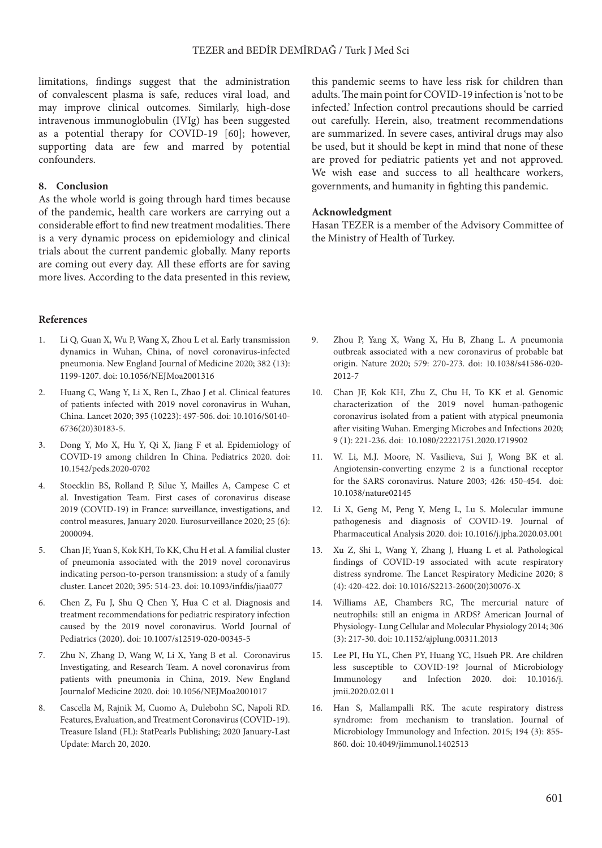limitations, findings suggest that the administration of convalescent plasma is safe, reduces viral load, and may improve clinical outcomes. Similarly, high-dose intravenous immunoglobulin (IVIg) has been suggested as a potential therapy for COVID-19 [60]; however, supporting data are few and marred by potential confounders.

### **8. Conclusion**

As the whole world is going through hard times because of the pandemic, health care workers are carrying out a considerable effort to find new treatment modalities. There is a very dynamic process on epidemiology and clinical trials about the current pandemic globally. Many reports are coming out every day. All these efforts are for saving more lives. According to the data presented in this review,

#### **References**

- 1. [Li Q](https://www.ncbi.nlm.nih.gov/pubmed/?term=Li Q%5BAuthor%5D&cauthor=true&cauthor_uid=31995857), [Guan X,](https://www.ncbi.nlm.nih.gov/pubmed/?term=Guan X%5BAuthor%5D&cauthor=true&cauthor_uid=31995857) [Wu P](https://www.ncbi.nlm.nih.gov/pubmed/?term=Wu P%5BAuthor%5D&cauthor=true&cauthor_uid=31995857), [Wang X,](https://www.ncbi.nlm.nih.gov/pubmed/?term=Wang X%5BAuthor%5D&cauthor=true&cauthor_uid=31995857) [Zhou L](https://www.ncbi.nlm.nih.gov/pubmed/?term=Zhou L%5BAuthor%5D&cauthor=true&cauthor_uid=31995857) et al. Early transmission dynamics in Wuhan, China, of novel coronavirus-infected pneumonia. New England Journal of Medicine 2020; 382 (13): 1199-1207. doi: 10.1056/NEJMoa2001316
- 2. [Huang C](https://www.ncbi.nlm.nih.gov/pubmed/?term=Huang C%5BAuthor%5D&cauthor=true&cauthor_uid=31986264), [Wang Y](https://www.ncbi.nlm.nih.gov/pubmed/?term=Wang Y%5BAuthor%5D&cauthor=true&cauthor_uid=31986264), [Li X,](https://www.ncbi.nlm.nih.gov/pubmed/?term=Li X%5BAuthor%5D&cauthor=true&cauthor_uid=31986264) [Ren L,](https://www.ncbi.nlm.nih.gov/pubmed/?term=Ren L%5BAuthor%5D&cauthor=true&cauthor_uid=31986264) [Zhao J](https://www.ncbi.nlm.nih.gov/pubmed/?term=Zhao J%5BAuthor%5D&cauthor=true&cauthor_uid=31986264) et al. Clinical features of patients infected with 2019 novel coronavirus in Wuhan, China. Lancet 2020; 395 (10223): 497-506. doi: 10.1016/S0140- 6736(20)30183-5.
- 3. Dong Y, Mo X, Hu Y, Qi X, Jiang F et al. Epidemiology of COVID-19 among children In China. Pediatrics 2020. doi: 10.1542/peds.2020-0702
- 4. Stoecklin BS, Rolland P, Silue Y, Mailles A, Campese C et al. Investigation Team. First cases of coronavirus disease 2019 (COVID-19) in France: surveillance, investigations, and control measures, January 2020. Eurosurveillance 2020; 25 (6): 2000094.
- 5. Chan JF, Yuan S, Kok KH, To KK, Chu H et al. A familial cluster of pneumonia associated with the 2019 novel coronavirus indicating person-to-person transmission: a study of a family cluster. Lancet 2020; 395: 514-23. doi: 10.1093/infdis/jiaa077
- 6. Chen Z, Fu J, Shu Q Chen Y, Hua C et al. Diagnosis and treatment recommendations for pediatric respiratory infection caused by the 2019 novel coronavirus. World Journal of Pediatrics (2020). doi: 10.1007/s12519-020-00345-5
- 7. Zhu N, Zhang D, Wang W, Li X, Yang B et al. Coronavirus Investigating, and Research Team. A novel coronavirus from patients with pneumonia in China, 2019. New England Journalof Medicine 2020. doi: 10.1056/NEJMoa2001017
- 8. Cascella M, Rajnik M, Cuomo A, Dulebohn SC, Napoli RD. Features, Evaluation, and Treatment Coronavirus (COVID-19). Treasure Island (FL): [StatPearls Publishing](https://www.statpearls.com/); 2020 January-Last Update: March 20, 2020.

this pandemic seems to have less risk for children than adults. The main point for COVID-19 infection is 'not to be infected.' Infection control precautions should be carried out carefully. Herein, also, treatment recommendations are summarized. In severe cases, antiviral drugs may also be used, but it should be kept in mind that none of these are proved for pediatric patients yet and not approved. We wish ease and success to all healthcare workers, governments, and humanity in fighting this pandemic.

### **Acknowledgment**

Hasan TEZER is a member of the Advisory Committee of the Ministry of Health of Turkey.

- 9. Zhou P, Yang X, Wang X, Hu B, Zhang L. A pneumonia outbreak associated with a new coronavirus of probable bat origin. Nature 2020; 579: 270-273. doi: 10.1038/s41586-020- 2012-7
- 10. Chan JF, Kok KH, Zhu Z, Chu H, To KK et al. Genomic characterization of the 2019 novel human-pathogenic coronavirus isolated from a patient with atypical pneumonia after visiting Wuhan. Emerging Microbes and Infections 2020; 9 (1): 221-236. doi: 10.1080/22221751.2020.1719902
- 11. W. Li, M.J. Moore, N. Vasilieva, Sui J, Wong BK et al. Angiotensin-converting enzyme 2 is a functional receptor for the SARS coronavirus. Nature 2003; 426: 450-454. [doi:](https://doi.org/10.1038/nature02145) [10.1038/nature02145](https://doi.org/10.1038/nature02145)
- 12. Li X, Geng M, Peng Y, Meng L, Lu S. Molecular immune pathogenesis and diagnosis of COVID-19. Journal of Pharmaceutical Analysis 2020. doi: 10.1016/j.jpha.2020.03.001
- 13. Xu Z, Shi L, Wang Y, Zhang J, Huang L et al. Pathological findings of COVID-19 associated with acute respiratory distress syndrome. The Lancet Respiratory Medicine 2020; 8 (4): 420-422. doi: [10.1016/S2213-2600\(20\)30076-X](https://doi.org/10.1016/S2213-2600(20)30076-X)
- 14. Williams AE, Chambers RC, The mercurial nature of neutrophils: still an enigma in ARDS? American Journal of Physiology- Lung Cellular and Molecular Physiology 2014; 306 (3): 217-30. doi: 10.1152/ajplung.00311.2013
- 15. [Lee PI](https://www.ncbi.nlm.nih.gov/pubmed/?term=Lee PI%5BAuthor%5D&cauthor=true&cauthor_uid=32147409), [Hu YL,](https://www.ncbi.nlm.nih.gov/pubmed/?term=Hu YL%5BAuthor%5D&cauthor=true&cauthor_uid=32147409) [Chen PY](https://www.ncbi.nlm.nih.gov/pubmed/?term=Chen PY%5BAuthor%5D&cauthor=true&cauthor_uid=32147409), [Huang YC,](https://www.ncbi.nlm.nih.gov/pubmed/?term=Huang YC%5BAuthor%5D&cauthor=true&cauthor_uid=32147409) [Hsueh PR.](https://www.ncbi.nlm.nih.gov/pubmed/?term=Hsueh PR%5BAuthor%5D&cauthor=true&cauthor_uid=32147409) Are children less susceptible to COVID-19? Journal of Microbiology Immunology and Infection 2020. doi: 10.1016/j. jmii.2020.02.011
- 16. Han S, Mallampalli RK. The acute respiratory distress syndrome: from mechanism to translation. Journal of Microbiology Immunology and Infection. 2015; 194 (3): 855- 860. doi: 10.4049/jimmunol.1402513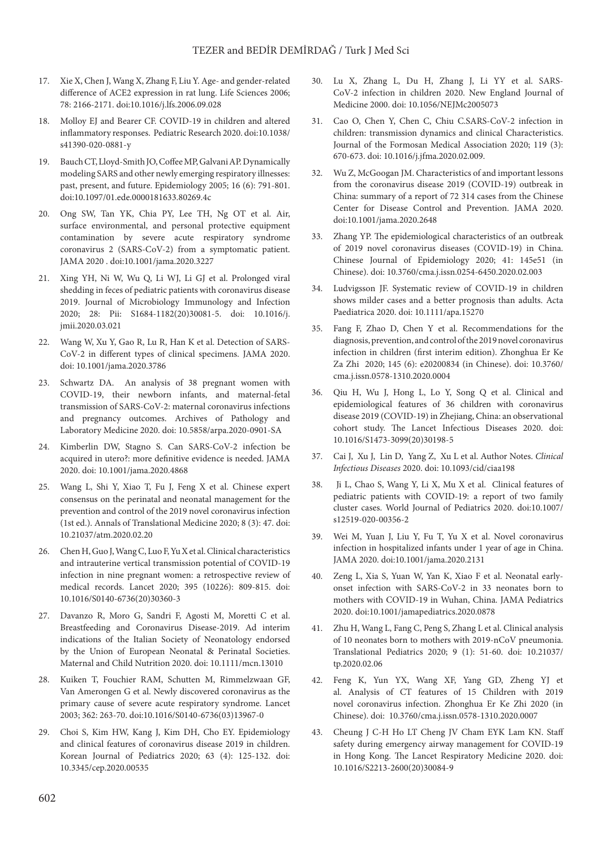- 17. Xie X, Chen J, Wang X, Zhang F, Liu Y. Age- and gender-related difference of ACE2 expression in rat lung. Life Sciences 2006; 78: 2166-2171. doi:[10.1016/j.lfs.2006.09.028](http://dx.doi.org/10.1016%2Fj.lfs.2006.09.028)
- 18. Molloy EJ and Bearer CF. COVID-19 in children and altered inflammatory responses. Pediatric Research 2020. doi:10.1038/ s41390-020-0881-y
- 19. Bauch CT, Lloyd-Smith JO, Coffee MP, Galvani AP. Dynamically modeling SARS and other newly emerging respiratory illnesses: past, present, and future. Epidemiology 2005; 16 (6): 791-801. doi[:10.1097/01.ede.0000181633.80269.4c](https://doi.org/10.1097/01.ede.0000181633.80269.4c)
- 20. Ong SW, Tan YK, Chia PY, Lee TH, Ng OT et al. Air, surface environmental, and personal protective equipment contamination by severe acute respiratory syndrome coronavirus 2 (SARS-CoV-2) from a symptomatic patient. JAMA 2020 . doi:10.1001/jama.2020.3227
- 21. [Xing YH](https://www.ncbi.nlm.nih.gov/pubmed/?term=Xing YH%5BAuthor%5D&cauthor=true&cauthor_uid=32276848), [Ni W](https://www.ncbi.nlm.nih.gov/pubmed/?term=Ni W%5BAuthor%5D&cauthor=true&cauthor_uid=32276848), [Wu Q,](https://www.ncbi.nlm.nih.gov/pubmed/?term=Wu Q%5BAuthor%5D&cauthor=true&cauthor_uid=32276848) [Li WJ](https://www.ncbi.nlm.nih.gov/pubmed/?term=Li WJ%5BAuthor%5D&cauthor=true&cauthor_uid=32276848), [Li GJ](https://www.ncbi.nlm.nih.gov/pubmed/?term=Li GJ%5BAuthor%5D&cauthor=true&cauthor_uid=32276848) et al. Prolonged viral shedding in feces of pediatric patients with coronavirus disease 2019. Journal of Microbiology Immunology and Infection 2020; 28: Pii: S1684-1182(20)30081-5. doi: 10.1016/j. jmii.2020.03.021
- 22. Wang W, Xu Y, Gao R, Lu R, Han K et al. Detection of SARS-CoV-2 in different types of clinical specimens. JAMA 2020. doi: 10.1001/jama.2020.3786
- 23. Schwartz DA. An analysis of 38 pregnant women with COVID-19, their newborn infants, and maternal-fetal transmission of SARS-CoV-2: maternal coronavirus infections and pregnancy outcomes. Archives of Pathology and Laboratory Medicine 2020. doi: 10.5858/arpa.2020-0901-SA
- 24. Kimberlin DW, Stagno S. Can SARS-CoV-2 infection be acquired in utero?: more definitive evidence is needed. JAMA 2020. doi: 10.1001/jama.2020.4868
- 25. Wang L, Shi Y, Xiao T, Fu J, Feng X et al. Chinese expert consensus on the perinatal and neonatal management for the prevention and control of the 2019 novel coronavirus infection (1st ed.). Annals of Translational Medicine 2020; 8 (3): 47. doi: 10.21037/atm.2020.02.20
- 26. Chen H, Guo J, Wang C, Luo F, Yu X et al. Clinical characteristics and intrauterine vertical transmission potential of COVID-19 infection in nine pregnant women: a retrospective review of medical records. Lancet 2020; 395 (10226): 809-815. doi: 10.1016/S0140-6736(20)30360-3
- 27. [Davanzo R,](https://www.ncbi.nlm.nih.gov/pubmed/?term=Davanzo R%5BAuthor%5D&cauthor=true&cauthor_uid=32243068) [Moro G](https://www.ncbi.nlm.nih.gov/pubmed/?term=Moro G%5BAuthor%5D&cauthor=true&cauthor_uid=32243068), [Sandri F,](https://www.ncbi.nlm.nih.gov/pubmed/?term=Sandri F%5BAuthor%5D&cauthor=true&cauthor_uid=32243068) [Agosti M,](https://www.ncbi.nlm.nih.gov/pubmed/?term=Agosti M%5BAuthor%5D&cauthor=true&cauthor_uid=32243068) [Moretti C](https://www.ncbi.nlm.nih.gov/pubmed/?term=Moretti C%5BAuthor%5D&cauthor=true&cauthor_uid=32243068) et al. Breastfeeding and Coronavirus Disease-2019. Ad interim indications of the Italian Society of Neonatology endorsed by the Union of European Neonatal & Perinatal Societies. Maternal and Child Nutrition 2020. doi: 10.1111/mcn.13010
- 28. Kuiken T, Fouchier RAM, Schutten M, Rimmelzwaan GF, Van Amerongen G et al. Newly discovered coronavirus as the primary cause of severe acute respiratory syndrome. Lancet 2003; 362: 263-70. doi:[10.1016/S0140-6736\(03\)13967-0](https://doi.org/10.1016/S0140-6736(03)13967-0)
- 29. Choi S, Kim HW, Kang J, Kim DH, Cho EY. Epidemiology and clinical features of coronavirus disease 2019 in children. Korean Journal of Pediatrics 2020; 63 (4): 125-132. doi: 10.3345/cep.2020.00535
- 30. [Lu X](https://www.ncbi.nlm.nih.gov/pubmed/?term=Lu X%5BAuthor%5D&cauthor=true&cauthor_uid=32187458), [Zhang L,](https://www.ncbi.nlm.nih.gov/pubmed/?term=Zhang L%5BAuthor%5D&cauthor=true&cauthor_uid=32187458) [Du H](https://www.ncbi.nlm.nih.gov/pubmed/?term=Du H%5BAuthor%5D&cauthor=true&cauthor_uid=32187458), [Zhang J,](https://www.ncbi.nlm.nih.gov/pubmed/?term=Zhang J%5BAuthor%5D&cauthor=true&cauthor_uid=32187458) [Li YY](https://www.ncbi.nlm.nih.gov/pubmed/?term=Li YY%5BAuthor%5D&cauthor=true&cauthor_uid=32187458) et al. SARS-CoV-2 infection in children 2020. New England Journal of Medicine 2000. doi: 10.1056/NEJMc2005073
- 31. Cao O, Chen Y, Chen C, Chiu C.SARS-CoV-2 infection in children: transmission dynamics and clinical Characteristics. Journal of the Formosan Medical Association 2020; 119 (3): 670-673. doi: 10.1016/j.jfma.2020.02.009.
- 32. Wu Z, McGoogan JM. Characteristics of and important lessons from the coronavirus disease 2019 (COVID-19) outbreak in China: summary of a report of 72 314 cases from the Chinese Center for Disease Control and Prevention. JAMA 2020. doi[:10.1001/jama.2020.2648](https://doi.org/10.1001/jama.2020.2648)
- 33. Zhang YP. The epidemiological characteristics of an outbreak of 2019 novel coronavirus diseases (COVID-19) in China. Chinese Journal of Epidemiology 2020; 41: 145e51 (in Chinese). doi: 10.3760/cma.j.issn.0254-6450.2020.02.003
- 34. Ludvigsson JF. Systematic review of COVID-19 in children shows milder cases and a better prognosis than adults. Acta Paediatrica 2020. doi: 10.1111/apa.15270
- 35. Fang F, Zhao D, Chen Y et al. Recommendations for the diagnosis, prevention, and control of the 2019 novel coronavirus infection in children (first interim edition). Zhonghua Er Ke Za Zhi 2020; 145 (6): e20200834 (in Chinese). doi: 10.3760/ cma.j.issn.0578-1310.2020.0004
- 36. Qiu H, Wu J, Hong L, Lo Y, Song Q et al. Clinical and epidemiological features of 36 children with coronavirus disease 2019 (COVID-19) in Zhejiang, China: an observational cohort study. The Lancet Infectious Diseases 2020. doi: [10.1016/S1473-3099\(20\)30198-5](https://doi.org/10.1016/S1473-3099(20)30198-5)
- 37. Cai J, Xu J, Lin D, Yang Z, Xu L et al. Author Notes. *Clinical Infectious Diseases* 2020. [doi: 10.1093/cid/ciaa198](https://doi.org/10.1093/cid/ciaa198)
- 38. Ji L, Chao S, Wang Y, Li X, Mu X et al. Clinical features of pediatric patients with COVID-19: a report of two family cluster cases. World Journal of Pediatrics 2020. [doi:10.1007/](https://doi.org/10.1007/s12519-020-00356-2) [s12519-020-00356-2](https://doi.org/10.1007/s12519-020-00356-2)
- 39. Wei M, Yuan J, Liu Y, Fu T, Yu X et al. Novel coronavirus infection in hospitalized infants under 1 year of age in China. JAMA 2020. doi:10.1001/jama.2020.2131
- 40. Zeng L, Xia S, Yuan W, Yan K, Xiao F et al. Neonatal earlyonset infection with SARS-CoV-2 in 33 neonates born to mothers with COVID-19 in Wuhan, China. JAMA Pediatrics 2020. doi:10.1001/jamapediatrics.2020.0878
- 41. Zhu H, Wang L, Fang C, Peng S, Zhang L et al. Clinical analysis of 10 neonates born to mothers with 2019-nCoV pneumonia. Translational Pediatrics 2020; 9 (1): 51-60. [doi: 10.21037/](http://dx.doi.org/10.21037/tp.2020.02.06) [tp.2020.02.06](http://dx.doi.org/10.21037/tp.2020.02.06)
- 42. [Feng K,](file:///pubmed/?term=Feng K%5BAuthor%5D&cauthor=true&cauthor_uid=32061200) [Yun YX,](file:///pubmed/?term=Yun YX%5BAuthor%5D&cauthor=true&cauthor_uid=32061200) [Wang XF](file:///pubmed/?term=Wang XF%5BAuthor%5D&cauthor=true&cauthor_uid=32061200), [Yang GD](file:///pubmed/?term=Yang GD%5BAuthor%5D&cauthor=true&cauthor_uid=32061200), [Zheng YJ](file:///pubmed/?term=Zheng YJ%5BAuthor%5D&cauthor=true&cauthor_uid=32061200) et al. Analysis of CT features of 15 Children with 2019 novel coronavirus infection. Zhonghua Er Ke Zhi 2020 (in Chinese). doi: 10.3760/cma.j.issn.0578-1310.2020.0007
- 43. Cheung J C-H Ho LT Cheng JV Cham EYK Lam KN. Staff safety during emergency airway management for COVID-19 in Hong Kong. The Lancet Respiratory Medicine 2020. doi: 10.1016/S2213-2600(20)30084-9